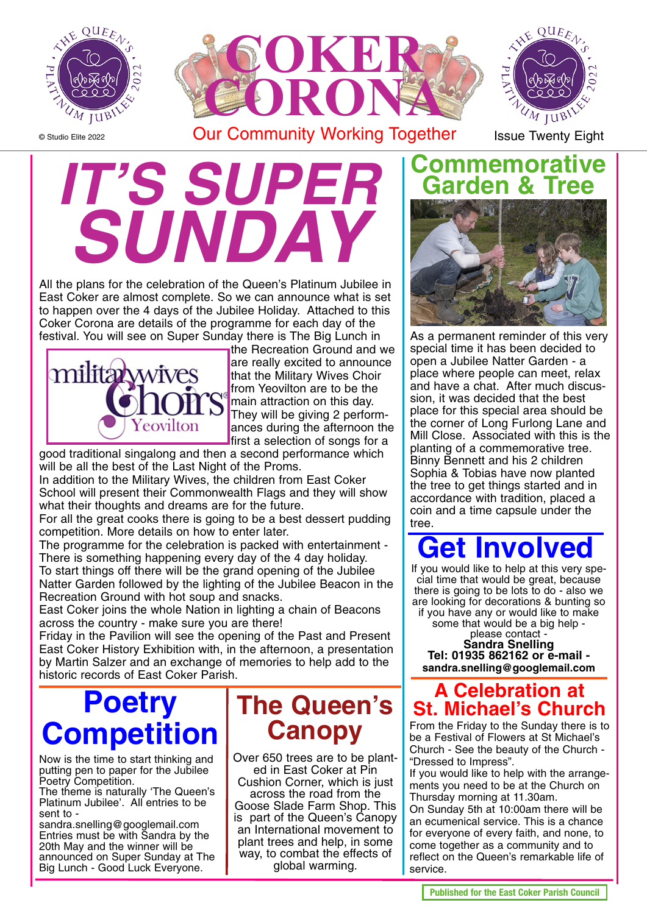

© Studio Elite 2022



**IT'S SUPE SUNDA** 

All the plans for the celebration of the Queen's Platinum Jubilee in East Coker are almost complete. So we can announce what is set to happen over the 4 days of the Jubilee Holiday. Attached to this Coker Corona are details of the programme for each day of the festival. You will see on Super Sunday there is The Big Lunch in



the Recreation Ground and we are really excited to announce that the Military Wives Choir from Yeovilton are to be the main attraction on this day. They will be giving 2 performances during the afternoon the first a selection of songs for a

good traditional singalong and then a second performance which will be all the best of the Last Night of the Proms.

In addition to the Military Wives, the children from East Coker School will present their Commonwealth Flags and they will show what their thoughts and dreams are for the future.

For all the great cooks there is going to be a best dessert pudding competition. More details on how to enter later.

The programme for the celebration is packed with entertainment - There is something happening every day of the 4 day holiday. To start things off there will be the grand opening of the Jubilee Natter Garden followed by the lighting of the Jubilee Beacon in the Recreation Ground with hot soup and snacks.

East Coker joins the whole Nation in lighting a chain of Beacons across the country - make sure you are there!

Friday in the Pavilion will see the opening of the Past and Present East Coker History Exhibition with, in the afternoon, a presentation by Martin Salzer and an exchange of memories to help add to the historic records of East Coker Parish.

# **Poetry Competition**

Now is the time to start thinking and putting pen to paper for the Jubilee Poetry Competition.

The theme is naturally 'The Queen's Platinum Jubilee'. All entries to be sent to -

sandra.snelling@googlemail.com Entries must be with Sandra by the 20th May and the winner will be announced on Super Sunday at The Big Lunch - Good Luck Everyone.

## **The Queen's Canopy**

Over 650 trees are to be planted in East Coker at Pin Cushion Corner, which is just

across the road from the Goose Slade Farm Shop. This is part of the Queen's Canopy an International movement to plant trees and help, in some way, to combat the effects of global warming.

#### **Commemorative Garden & Tree**



As a permanent reminder of this very special time it has been decided to open a Jubilee Natter Garden - a place where people can meet, relax and have a chat. After much discussion, it was decided that the best place for this special area should be the corner of Long Furlong Lane and Mill Close. Associated with this is the planting of a commemorative tree. Binny Bennett and his 2 children Sophia & Tobias have now planted the tree to get things started and in accordance with tradition, placed a coin and a time capsule under the tree.

# **Get Involved**

If you would like to help at this very special time that would be great, because there is going to be lots to do - also we are looking for decorations & bunting so if you have any or would like to make some that would be a big help -

please contact -<br>**Sandra Snelling Sandra Snelling Tel: 01935 862162 or e-mail sandra.snelling@googlemail.com**

#### **A Celebration at St. Michael's Church**

From the Friday to the Sunday there is to be a Festival of Flowers at St Michael's Church - See the beauty of the Church - "Dressed to Impress".

If you would like to help with the arrangements you need to be at the Church on Thursday morning at 11.30am.

On Sunday 5th at 10:00am there will be an ecumenical service. This is a chance for everyone of every faith, and none, to come together as a community and to reflect on the Queen's remarkable life of service.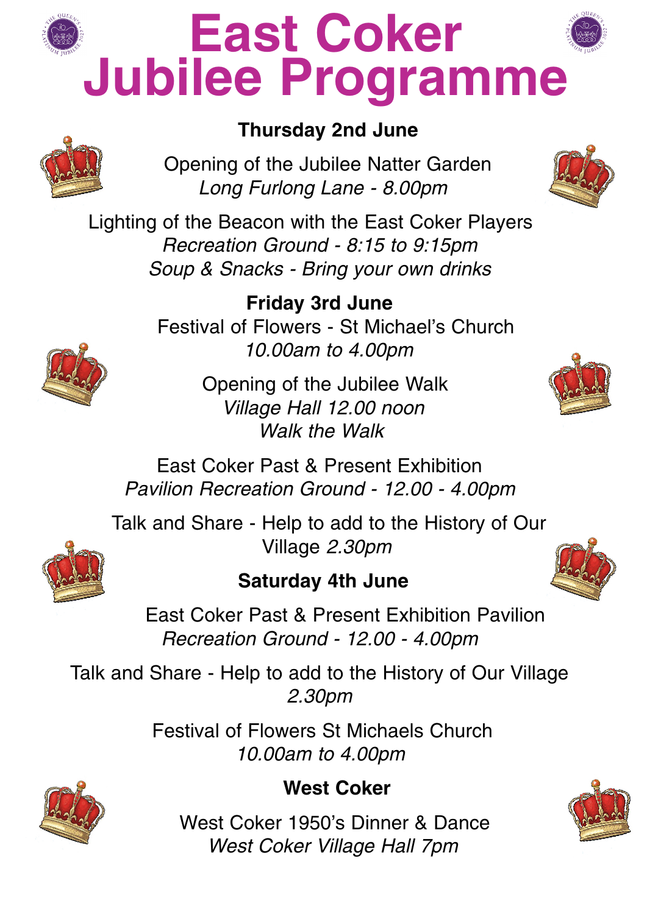

# **East Coker Jubilee Programme**



Opening of the Jubilee Natter Garden Long Furlong Lane - 8.00pm



Lighting of the Beacon with the East Coker Players Recreation Ground - 8:15 to 9:15pm Soup & Snacks - Bring your own drinks

> **Friday 3rd June** Festival of Flowers - St Michael's Church 10.00am to 4.00pm

> > Opening of the Jubilee Walk Village Hall 12.00 noon Walk the Walk

East Coker Past & Present Exhibition Pavilion Recreation Ground - 12.00 - 4.00pm

Talk and Share - Help to add to the History of Our Village 2.30pm

#### **Saturday 4th June**



East Coker Past & Present Exhibition Pavilion Recreation Ground - 12.00 - 4.00pm

Talk and Share - Help to add to the History of Our Village 2.30pm

> Festival of Flowers St Michaels Church 10.00am to 4.00pm



#### **West Coker**

West Coker 1950's Dinner & Dance West Coker Village Hall 7pm